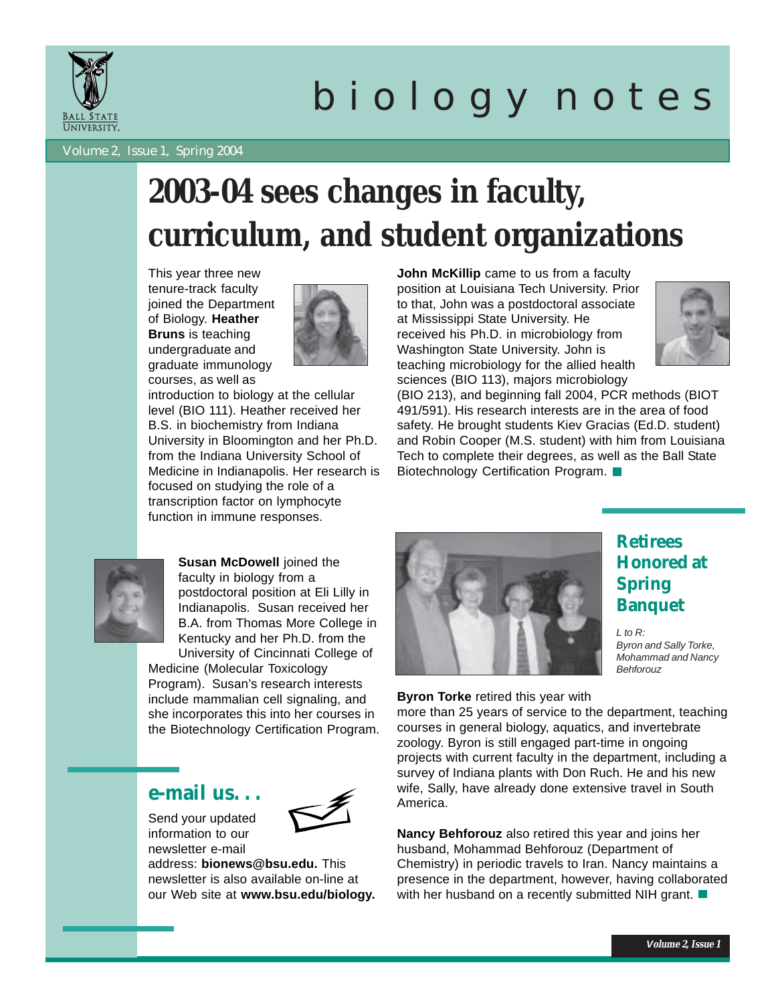

# b i o l o g y n o t e s

Volume 2, Issue 1, Spring 2004

## **2003-04 sees changes in faculty, curriculum, and student organizations**

This year three new tenure-track faculty joined the Department of Biology. **Heather Bruns** is teaching undergraduate and graduate immunology courses, as well as



introduction to biology at the cellular level (BIO 111). Heather received her B.S. in biochemistry from Indiana University in Bloomington and her Ph.D. from the Indiana University School of Medicine in Indianapolis. Her research is focused on studying the role of a transcription factor on lymphocyte function in immune responses.

**John McKillip** came to us from a faculty position at Louisiana Tech University. Prior to that, John was a postdoctoral associate at Mississippi State University. He received his Ph.D. in microbiology from Washington State University. John is teaching microbiology for the allied health sciences (BIO 113), majors microbiology



(BIO 213), and beginning fall 2004, PCR methods (BIOT 491/591). His research interests are in the area of food safety. He brought students Kiev Gracias (Ed.D. student) and Robin Cooper (M.S. student) with him from Louisiana Tech to complete their degrees, as well as the Ball State Biotechnology Certification Program.



**Susan McDowell** joined the faculty in biology from a postdoctoral position at Eli Lilly in Indianapolis. Susan received her B.A. from Thomas More College in Kentucky and her Ph.D. from the University of Cincinnati College of

Medicine (Molecular Toxicology Program). Susan's research interests include mammalian cell signaling, and she incorporates this into her courses in the Biotechnology Certification Program.

#### **e-mail us. . .**



Send your updated information to our newsletter e-mail

address: **bionews@bsu.edu.** This newsletter is also available on-line at our Web site at **www.bsu.edu/biology.**



### **Honored at Spring Banquet**

**Retirees**

*L to R: Byron and Sally Torke, Mohammad and Nancy Behforouz*

#### **Byron Torke** retired this year with

more than 25 years of service to the department, teaching courses in general biology, aquatics, and invertebrate zoology. Byron is still engaged part-time in ongoing projects with current faculty in the department, including a survey of Indiana plants with Don Ruch. He and his new wife, Sally, have already done extensive travel in South America.

**Nancy Behforouz** also retired this year and joins her husband, Mohammad Behforouz (Department of Chemistry) in periodic travels to Iran. Nancy maintains a presence in the department, however, having collaborated with her husband on a recently submitted NIH grant.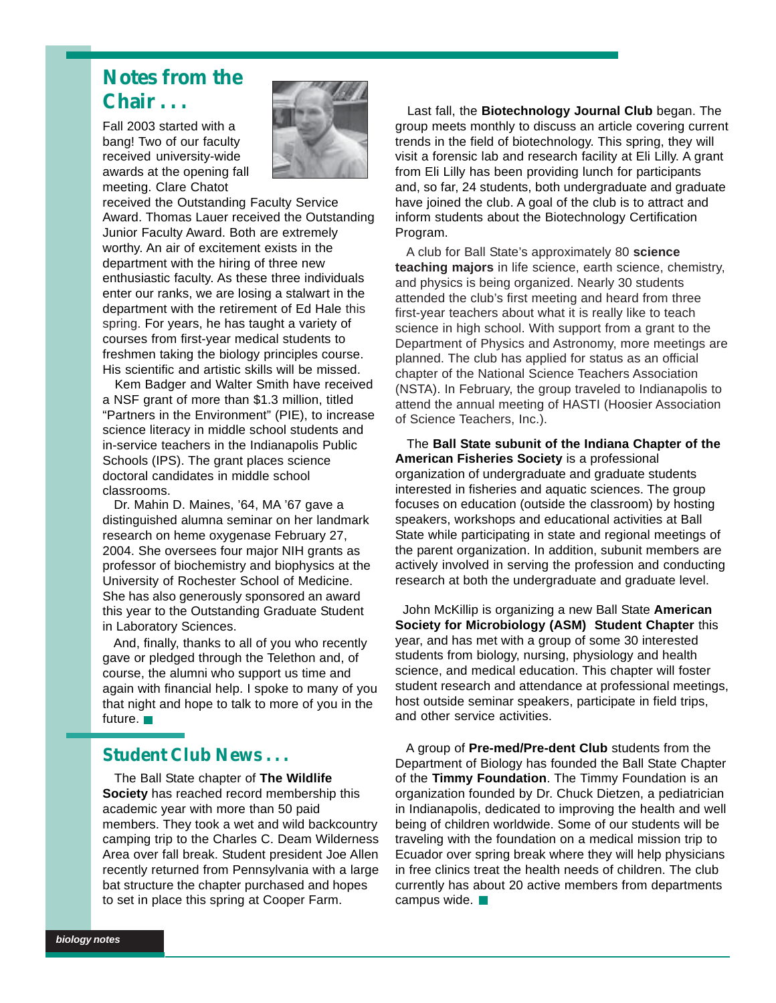### **Notes from the Chair . . .**

Fall 2003 started with a bang! Two of our faculty received university-wide awards at the opening fall meeting. Clare Chatot



received the Outstanding Faculty Service Award. Thomas Lauer received the Outstanding Junior Faculty Award. Both are extremely worthy. An air of excitement exists in the department with the hiring of three new enthusiastic faculty. As these three individuals enter our ranks, we are losing a stalwart in the department with the retirement of Ed Hale this spring. For years, he has taught a variety of courses from first-year medical students to freshmen taking the biology principles course. His scientific and artistic skills will be missed.

 Kem Badger and Walter Smith have received a NSF grant of more than \$1.3 million, titled "Partners in the Environment" (PIE), to increase science literacy in middle school students and in-service teachers in the Indianapolis Public Schools (IPS). The grant places science doctoral candidates in middle school classrooms.

 Dr. Mahin D. Maines, '64, MA '67 gave a distinguished alumna seminar on her landmark research on heme oxygenase February 27, 2004. She oversees four major NIH grants as professor of biochemistry and biophysics at the University of Rochester School of Medicine. She has also generously sponsored an award this year to the Outstanding Graduate Student in Laboratory Sciences.

 And, finally, thanks to all of you who recently gave or pledged through the Telethon and, of course, the alumni who support us time and again with financial help. I spoke to many of you that night and hope to talk to more of you in the future.

#### **Student Club News . . .**

 The Ball State chapter of **The Wildlife Society** has reached record membership this academic year with more than 50 paid members. They took a wet and wild backcountry camping trip to the Charles C. Deam Wilderness Area over fall break. Student president Joe Allen recently returned from Pennsylvania with a large bat structure the chapter purchased and hopes to set in place this spring at Cooper Farm.

 Last fall, the **Biotechnology Journal Club** began. The group meets monthly to discuss an article covering current trends in the field of biotechnology. This spring, they will visit a forensic lab and research facility at Eli Lilly. A grant from Eli Lilly has been providing lunch for participants and, so far, 24 students, both undergraduate and graduate have joined the club. A goal of the club is to attract and inform students about the Biotechnology Certification Program.

 A club for Ball State's approximately 80 **science teaching majors** in life science, earth science, chemistry, and physics is being organized. Nearly 30 students attended the club's first meeting and heard from three first-year teachers about what it is really like to teach science in high school. With support from a grant to the Department of Physics and Astronomy, more meetings are planned. The club has applied for status as an official chapter of the National Science Teachers Association (NSTA). In February, the group traveled to Indianapolis to attend the annual meeting of HASTI (Hoosier Association of Science Teachers, Inc.).

 The **Ball State subunit of the Indiana Chapter of the American Fisheries Society** is a professional organization of undergraduate and graduate students interested in fisheries and aquatic sciences. The group focuses on education (outside the classroom) by hosting speakers, workshops and educational activities at Ball State while participating in state and regional meetings of the parent organization. In addition, subunit members are actively involved in serving the profession and conducting research at both the undergraduate and graduate level.

 John McKillip is organizing a new Ball State **American Society for Microbiology (ASM) Student Chapter** this year, and has met with a group of some 30 interested students from biology, nursing, physiology and health science, and medical education. This chapter will foster student research and attendance at professional meetings, host outside seminar speakers, participate in field trips, and other service activities.

 A group of **Pre-med/Pre-dent Club** students from the Department of Biology has founded the Ball State Chapter of the **Timmy Foundation**. The Timmy Foundation is an organization founded by Dr. Chuck Dietzen, a pediatrician in Indianapolis, dedicated to improving the health and well being of children worldwide. Some of our students will be traveling with the foundation on a medical mission trip to Ecuador over spring break where they will help physicians in free clinics treat the health needs of children. The club currently has about 20 active members from departments campus wide.  $\Box$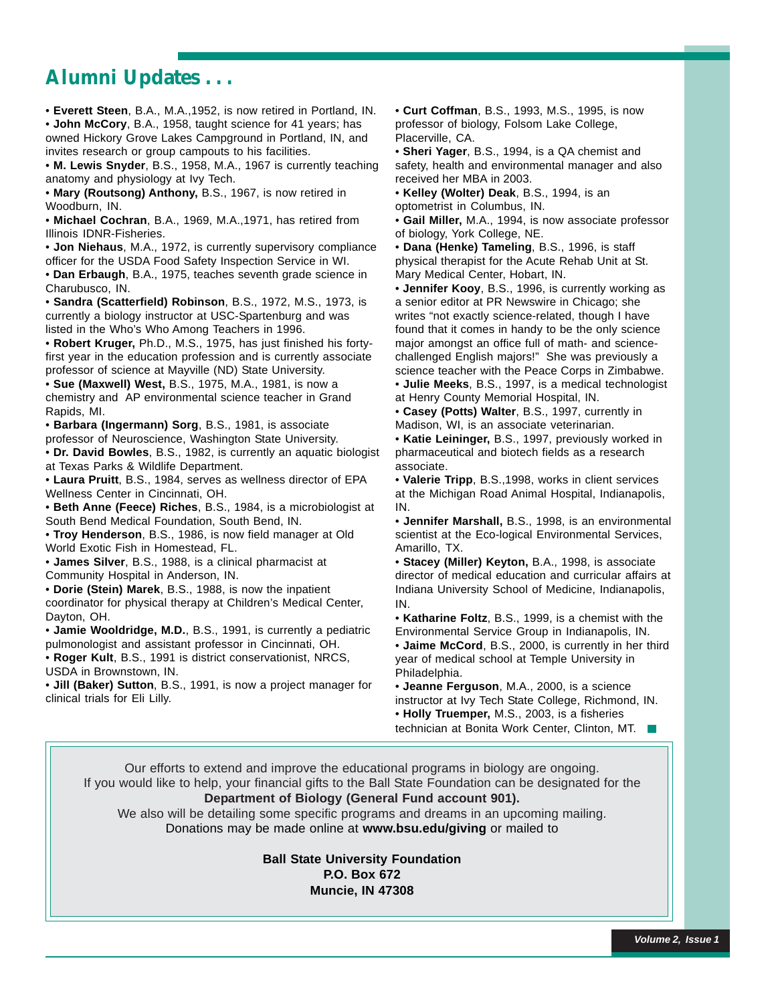### **Alumni Updates . . .**

• **Everett Steen**, B.A., M.A.,1952, is now retired in Portland, IN. • **John McCory**, B.A., 1958, taught science for 41 years; has owned Hickory Grove Lakes Campground in Portland, IN, and invites research or group campouts to his facilities.

• **M. Lewis Snyder**, B.S., 1958, M.A., 1967 is currently teaching anatomy and physiology at Ivy Tech.

• **Mary (Routsong) Anthony,** B.S., 1967, is now retired in Woodburn, IN.

• **Michael Cochran**, B.A., 1969, M.A.,1971, has retired from Illinois IDNR-Fisheries.

• **Jon Niehaus**, M.A., 1972, is currently supervisory compliance officer for the USDA Food Safety Inspection Service in WI. • **Dan Erbaugh**, B.A., 1975, teaches seventh grade science in Charubusco, IN.

• **Sandra (Scatterfield) Robinson**, B.S., 1972, M.S., 1973, is currently a biology instructor at USC-Spartenburg and was listed in the Who's Who Among Teachers in 1996.

• **Robert Kruger,** Ph.D., M.S., 1975, has just finished his fortyfirst year in the education profession and is currently associate professor of science at Mayville (ND) State University.

• **Sue (Maxwell) West,** B.S., 1975, M.A., 1981, is now a chemistry and AP environmental science teacher in Grand Rapids, MI.

• **Barbara (Ingermann) Sorg**, B.S., 1981, is associate professor of Neuroscience, Washington State University.

• **Dr. David Bowles**, B.S., 1982, is currently an aquatic biologist at Texas Parks & Wildlife Department.

• **Laura Pruitt**, B.S., 1984, serves as wellness director of EPA Wellness Center in Cincinnati, OH.

• **Beth Anne (Feece) Riches**, B.S., 1984, is a microbiologist at South Bend Medical Foundation, South Bend, IN.

• **Troy Henderson**, B.S., 1986, is now field manager at Old World Exotic Fish in Homestead, FL.

• **James Silver**, B.S., 1988, is a clinical pharmacist at Community Hospital in Anderson, IN.

• **Dorie (Stein) Marek**, B.S., 1988, is now the inpatient coordinator for physical therapy at Children's Medical Center, Dayton, OH.

• **Jamie Wooldridge, M.D.**, B.S., 1991, is currently a pediatric pulmonologist and assistant professor in Cincinnati, OH.

• **Roger Kult**, B.S., 1991 is district conservationist, NRCS, USDA in Brownstown, IN.

• **Jill (Baker) Sutton**, B.S., 1991, is now a project manager for clinical trials for Eli Lilly.

• **Curt Coffman**, B.S., 1993, M.S., 1995, is now professor of biology, Folsom Lake College, Placerville, CA.

• **Sheri Yager**, B.S., 1994, is a QA chemist and safety, health and environmental manager and also received her MBA in 2003.

• **Kelley (Wolter) Deak**, B.S., 1994, is an optometrist in Columbus, IN.

• **Gail Miller,** M.A., 1994, is now associate professor of biology, York College, NE.

• **Dana (Henke) Tameling**, B.S., 1996, is staff physical therapist for the Acute Rehab Unit at St. Mary Medical Center, Hobart, IN.

• **Jennifer Kooy**, B.S., 1996, is currently working as a senior editor at PR Newswire in Chicago; she writes "not exactly science-related, though I have found that it comes in handy to be the only science major amongst an office full of math- and sciencechallenged English majors!" She was previously a science teacher with the Peace Corps in Zimbabwe.

• **Julie Meeks**, B.S., 1997, is a medical technologist at Henry County Memorial Hospital, IN.

• **Casey (Potts) Walter**, B.S., 1997, currently in Madison, WI, is an associate veterinarian.

• **Katie Leininger,** B.S., 1997, previously worked in pharmaceutical and biotech fields as a research associate.

• **Valerie Tripp**, B.S.,1998, works in client services at the Michigan Road Animal Hospital, Indianapolis, IN.

• **Jennifer Marshall,** B.S., 1998, is an environmental scientist at the Eco-logical Environmental Services, Amarillo, TX.

• **Stacey (Miller) Keyton,** B.A., 1998, is associate director of medical education and curricular affairs at Indiana University School of Medicine, Indianapolis, IN.

• **Katharine Foltz**, B.S., 1999, is a chemist with the Environmental Service Group in Indianapolis, IN. • **Jaime McCord**, B.S., 2000, is currently in her third year of medical school at Temple University in Philadelphia.

• **Jeanne Ferguson**, M.A., 2000, is a science instructor at Ivy Tech State College, Richmond, IN. • **Holly Truemper,** M.S., 2003, is a fisheries

technician at Bonita Work Center, Clinton, MT.

Our efforts to extend and improve the educational programs in biology are ongoing. If you would like to help, your financial gifts to the Ball State Foundation can be designated for the **Department of Biology (General Fund account 901).** We also will be detailing some specific programs and dreams in an upcoming mailing. Donations may be made online at **www.bsu.edu/giving** or mailed to

> **Ball State University Foundation P.O. Box 672 Muncie, IN 47308**